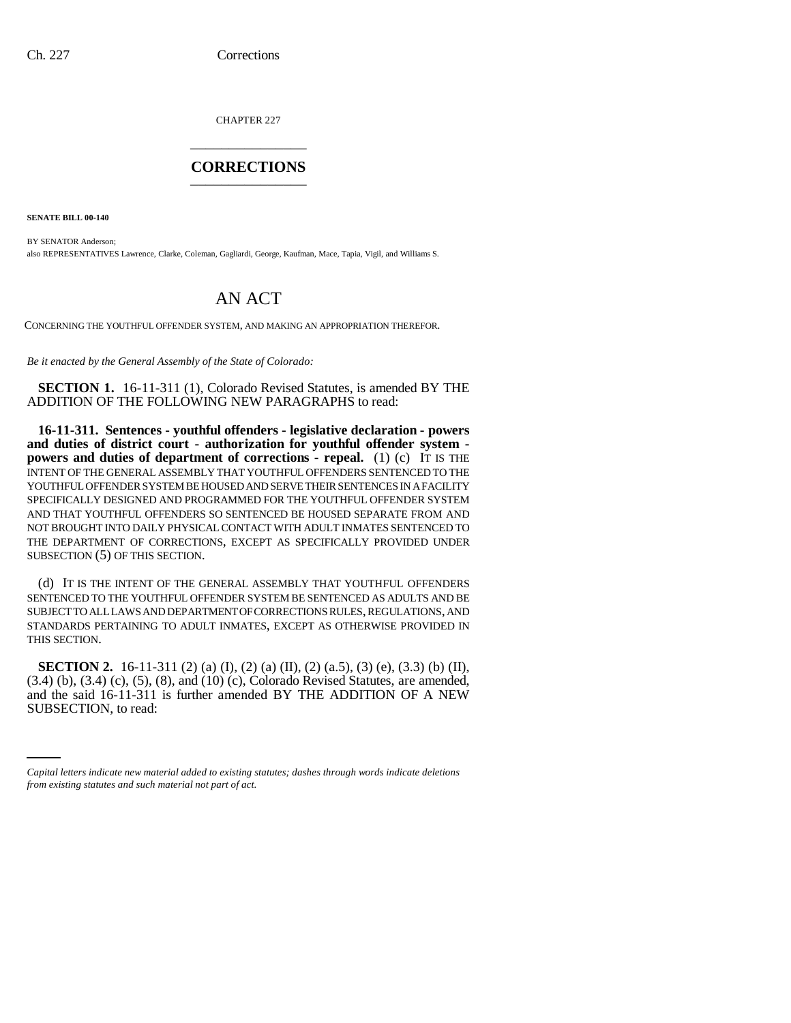CHAPTER 227 \_\_\_\_\_\_\_\_\_\_\_\_\_\_\_

## **CORRECTIONS** \_\_\_\_\_\_\_\_\_\_\_\_\_\_\_

**SENATE BILL 00-140** 

BY SENATOR Anderson; also REPRESENTATIVES Lawrence, Clarke, Coleman, Gagliardi, George, Kaufman, Mace, Tapia, Vigil, and Williams S.

## AN ACT

CONCERNING THE YOUTHFUL OFFENDER SYSTEM, AND MAKING AN APPROPRIATION THEREFOR.

*Be it enacted by the General Assembly of the State of Colorado:*

**SECTION 1.** 16-11-311 (1), Colorado Revised Statutes, is amended BY THE ADDITION OF THE FOLLOWING NEW PARAGRAPHS to read:

**16-11-311. Sentences - youthful offenders - legislative declaration - powers and duties of district court - authorization for youthful offender system powers and duties of department of corrections - repeal.** (1) (c) IT IS THE INTENT OF THE GENERAL ASSEMBLY THAT YOUTHFUL OFFENDERS SENTENCED TO THE YOUTHFUL OFFENDER SYSTEM BE HOUSED AND SERVE THEIR SENTENCES IN A FACILITY SPECIFICALLY DESIGNED AND PROGRAMMED FOR THE YOUTHFUL OFFENDER SYSTEM AND THAT YOUTHFUL OFFENDERS SO SENTENCED BE HOUSED SEPARATE FROM AND NOT BROUGHT INTO DAILY PHYSICAL CONTACT WITH ADULT INMATES SENTENCED TO THE DEPARTMENT OF CORRECTIONS, EXCEPT AS SPECIFICALLY PROVIDED UNDER SUBSECTION (5) OF THIS SECTION.

(d) IT IS THE INTENT OF THE GENERAL ASSEMBLY THAT YOUTHFUL OFFENDERS SENTENCED TO THE YOUTHFUL OFFENDER SYSTEM BE SENTENCED AS ADULTS AND BE SUBJECT TO ALL LAWS AND DEPARTMENT OF CORRECTIONS RULES, REGULATIONS, AND STANDARDS PERTAINING TO ADULT INMATES, EXCEPT AS OTHERWISE PROVIDED IN THIS SECTION.

and the said  $16-11-311$  is further amended BY THE ADDITION OF A NEW **SECTION 2.** 16-11-311 (2) (a) (I), (2) (a) (II), (2) (a.5), (3) (e), (3.3) (b) (II), (3.4) (b), (3.4) (c), (5), (8), and (10) (c), Colorado Revised Statutes, are amended, SUBSECTION, to read:

*Capital letters indicate new material added to existing statutes; dashes through words indicate deletions from existing statutes and such material not part of act.*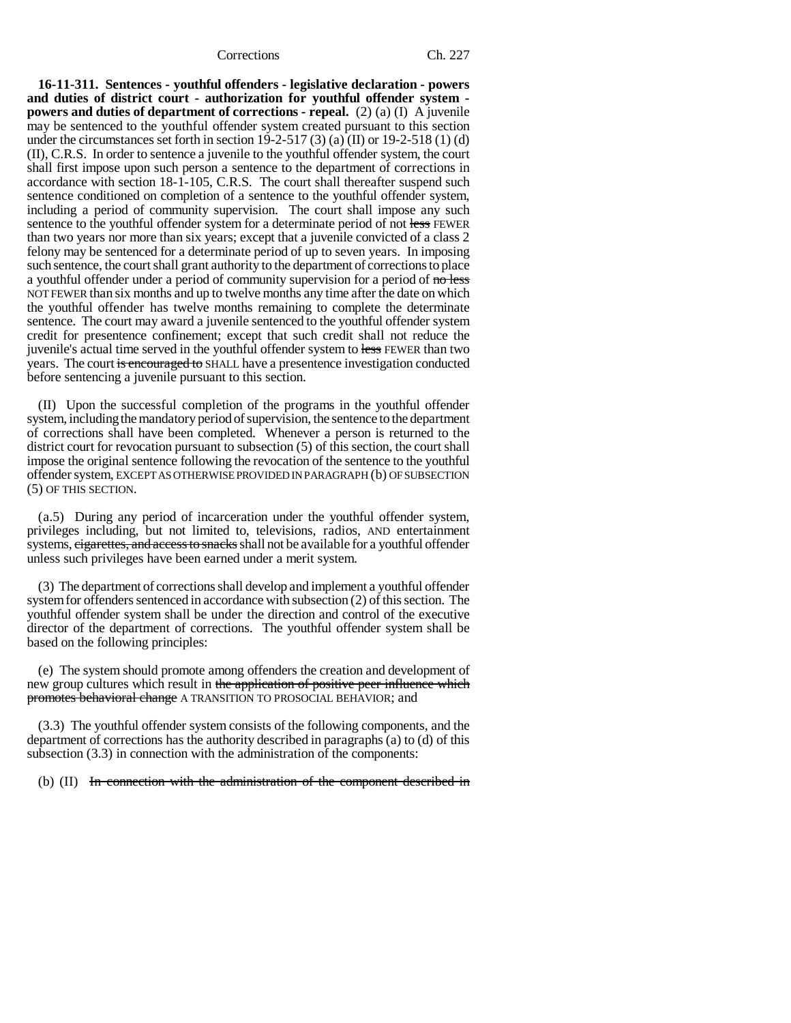Corrections Ch. 227

**16-11-311. Sentences - youthful offenders - legislative declaration - powers and duties of district court - authorization for youthful offender system powers and duties of department of corrections - repeal.** (2) (a) (I) A juvenile may be sentenced to the youthful offender system created pursuant to this section under the circumstances set forth in section 19-2-517 (3) (a) (II) or 19-2-518 (1) (d) (II), C.R.S. In order to sentence a juvenile to the youthful offender system, the court shall first impose upon such person a sentence to the department of corrections in accordance with section 18-1-105, C.R.S. The court shall thereafter suspend such sentence conditioned on completion of a sentence to the youthful offender system, including a period of community supervision. The court shall impose any such sentence to the youthful offender system for a determinate period of not less FEWER than two years nor more than six years; except that a juvenile convicted of a class 2 felony may be sentenced for a determinate period of up to seven years. In imposing such sentence, the court shall grant authority to the department of corrections to place a youthful offender under a period of community supervision for a period of  $\frac{1}{\pi}$ NOT FEWER than six months and up to twelve months any time after the date on which the youthful offender has twelve months remaining to complete the determinate sentence. The court may award a juvenile sentenced to the youthful offender system credit for presentence confinement; except that such credit shall not reduce the juvenile's actual time served in the youthful offender system to less FEWER than two years. The court is encouraged to SHALL have a presentence investigation conducted before sentencing a juvenile pursuant to this section.

(II) Upon the successful completion of the programs in the youthful offender system, including the mandatory period of supervision, the sentence to the department of corrections shall have been completed. Whenever a person is returned to the district court for revocation pursuant to subsection (5) of this section, the court shall impose the original sentence following the revocation of the sentence to the youthful offender system, EXCEPT AS OTHERWISE PROVIDED IN PARAGRAPH (b) OF SUBSECTION (5) OF THIS SECTION.

(a.5) During any period of incarceration under the youthful offender system, privileges including, but not limited to, televisions, radios, AND entertainment systems, eigarettes, and access to snacks shall not be available for a youthful offender unless such privileges have been earned under a merit system.

(3) The department of corrections shall develop and implement a youthful offender system for offenders sentenced in accordance with subsection (2) of this section. The youthful offender system shall be under the direction and control of the executive director of the department of corrections. The youthful offender system shall be based on the following principles:

(e) The system should promote among offenders the creation and development of new group cultures which result in the application of positive peer influence which promotes behavioral change A TRANSITION TO PROSOCIAL BEHAVIOR; and

(3.3) The youthful offender system consists of the following components, and the department of corrections has the authority described in paragraphs (a) to (d) of this subsection (3.3) in connection with the administration of the components:

(b) (II) In connection with the administration of the component described in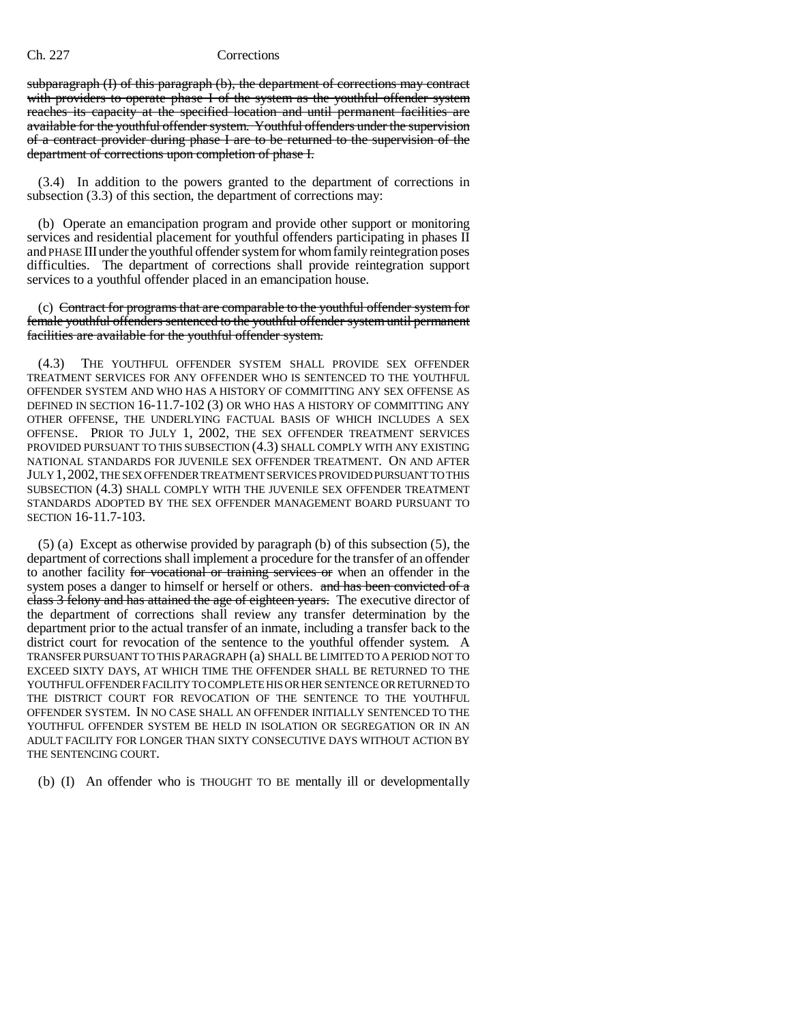## Ch. 227 Corrections

subparagraph (I) of this paragraph (b), the department of corrections may contract with providers to operate phase I of the system as the youthful offender system reaches its capacity at the specified location and until permanent facilities are available for the youthful offender system. Youthful offenders under the supervision of a contract provider during phase I are to be returned to the supervision of the department of corrections upon completion of phase I.

(3.4) In addition to the powers granted to the department of corrections in subsection (3.3) of this section, the department of corrections may:

(b) Operate an emancipation program and provide other support or monitoring services and residential placement for youthful offenders participating in phases II and PHASE III under the youthful offender system for whom family reintegration poses difficulties. The department of corrections shall provide reintegration support services to a youthful offender placed in an emancipation house.

(c) Contract for programs that are comparable to the youthful offender system for female youthful offenders sentenced to the youthful offender system until permanent facilities are available for the youthful offender system.

(4.3) THE YOUTHFUL OFFENDER SYSTEM SHALL PROVIDE SEX OFFENDER TREATMENT SERVICES FOR ANY OFFENDER WHO IS SENTENCED TO THE YOUTHFUL OFFENDER SYSTEM AND WHO HAS A HISTORY OF COMMITTING ANY SEX OFFENSE AS DEFINED IN SECTION 16-11.7-102 (3) OR WHO HAS A HISTORY OF COMMITTING ANY OTHER OFFENSE, THE UNDERLYING FACTUAL BASIS OF WHICH INCLUDES A SEX OFFENSE. PRIOR TO JULY 1, 2002, THE SEX OFFENDER TREATMENT SERVICES PROVIDED PURSUANT TO THIS SUBSECTION (4.3) SHALL COMPLY WITH ANY EXISTING NATIONAL STANDARDS FOR JUVENILE SEX OFFENDER TREATMENT. ON AND AFTER JULY 1,2002, THE SEX OFFENDER TREATMENT SERVICES PROVIDED PURSUANT TO THIS SUBSECTION (4.3) SHALL COMPLY WITH THE JUVENILE SEX OFFENDER TREATMENT STANDARDS ADOPTED BY THE SEX OFFENDER MANAGEMENT BOARD PURSUANT TO SECTION 16-11.7-103.

(5) (a) Except as otherwise provided by paragraph (b) of this subsection (5), the department of corrections shall implement a procedure for the transfer of an offender to another facility for vocational or training services or when an offender in the system poses a danger to himself or herself or others. and has been convicted of a class 3 felony and has attained the age of eighteen years. The executive director of the department of corrections shall review any transfer determination by the department prior to the actual transfer of an inmate, including a transfer back to the district court for revocation of the sentence to the youthful offender system. A TRANSFER PURSUANT TO THIS PARAGRAPH (a) SHALL BE LIMITED TO A PERIOD NOT TO EXCEED SIXTY DAYS, AT WHICH TIME THE OFFENDER SHALL BE RETURNED TO THE YOUTHFUL OFFENDER FACILITY TO COMPLETE HIS OR HER SENTENCE OR RETURNED TO THE DISTRICT COURT FOR REVOCATION OF THE SENTENCE TO THE YOUTHFUL OFFENDER SYSTEM. IN NO CASE SHALL AN OFFENDER INITIALLY SENTENCED TO THE YOUTHFUL OFFENDER SYSTEM BE HELD IN ISOLATION OR SEGREGATION OR IN AN ADULT FACILITY FOR LONGER THAN SIXTY CONSECUTIVE DAYS WITHOUT ACTION BY THE SENTENCING COURT.

(b) (I) An offender who is THOUGHT TO BE mentally ill or developmentally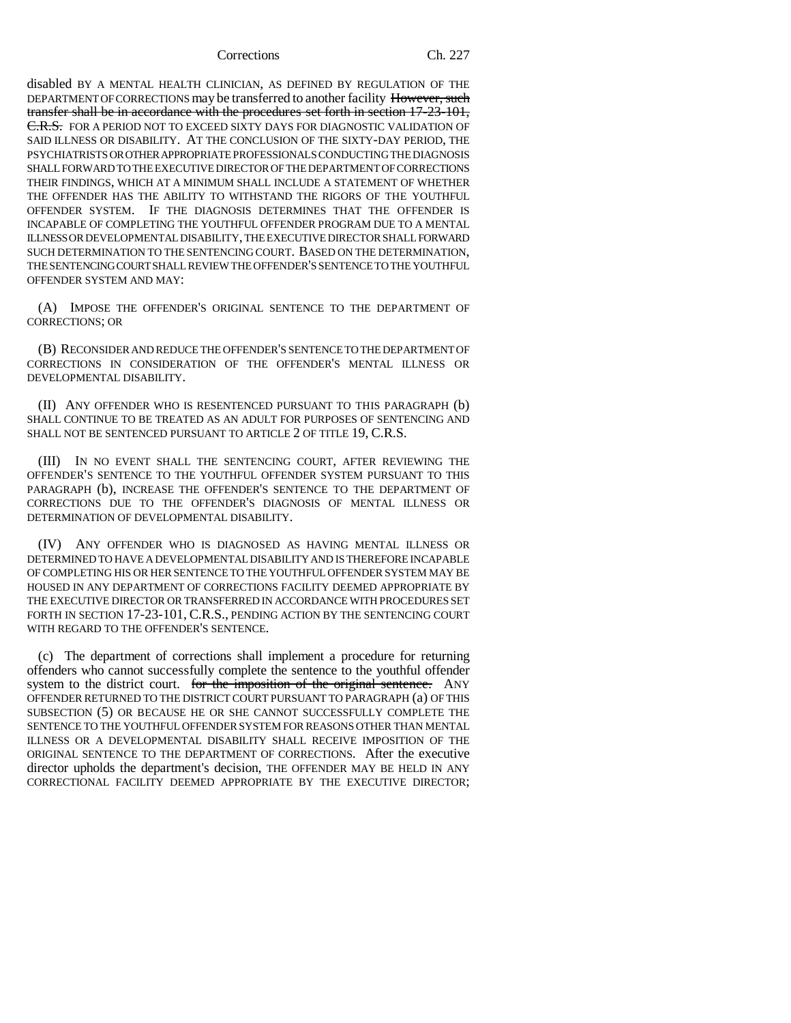Corrections Ch. 227

disabled BY A MENTAL HEALTH CLINICIAN, AS DEFINED BY REGULATION OF THE DEPARTMENT OF CORRECTIONS may be transferred to another facility However, such transfer shall be in accordance with the procedures set forth in section 17-23-101, C.R.S. FOR A PERIOD NOT TO EXCEED SIXTY DAYS FOR DIAGNOSTIC VALIDATION OF SAID ILLNESS OR DISABILITY. AT THE CONCLUSION OF THE SIXTY-DAY PERIOD, THE PSYCHIATRISTS OR OTHER APPROPRIATE PROFESSIONALS CONDUCTING THE DIAGNOSIS SHALL FORWARD TO THE EXECUTIVE DIRECTOR OF THE DEPARTMENT OF CORRECTIONS THEIR FINDINGS, WHICH AT A MINIMUM SHALL INCLUDE A STATEMENT OF WHETHER THE OFFENDER HAS THE ABILITY TO WITHSTAND THE RIGORS OF THE YOUTHFUL OFFENDER SYSTEM. IF THE DIAGNOSIS DETERMINES THAT THE OFFENDER IS INCAPABLE OF COMPLETING THE YOUTHFUL OFFENDER PROGRAM DUE TO A MENTAL ILLNESS OR DEVELOPMENTAL DISABILITY, THE EXECUTIVE DIRECTOR SHALL FORWARD SUCH DETERMINATION TO THE SENTENCING COURT. BASED ON THE DETERMINATION, THE SENTENCING COURT SHALL REVIEW THE OFFENDER'S SENTENCE TO THE YOUTHFUL OFFENDER SYSTEM AND MAY:

(A) IMPOSE THE OFFENDER'S ORIGINAL SENTENCE TO THE DEPARTMENT OF CORRECTIONS; OR

(B) RECONSIDER AND REDUCE THE OFFENDER'S SENTENCE TO THE DEPARTMENT OF CORRECTIONS IN CONSIDERATION OF THE OFFENDER'S MENTAL ILLNESS OR DEVELOPMENTAL DISABILITY.

(II) ANY OFFENDER WHO IS RESENTENCED PURSUANT TO THIS PARAGRAPH (b) SHALL CONTINUE TO BE TREATED AS AN ADULT FOR PURPOSES OF SENTENCING AND SHALL NOT BE SENTENCED PURSUANT TO ARTICLE 2 OF TITLE 19, C.R.S.

(III) IN NO EVENT SHALL THE SENTENCING COURT, AFTER REVIEWING THE OFFENDER'S SENTENCE TO THE YOUTHFUL OFFENDER SYSTEM PURSUANT TO THIS PARAGRAPH (b), INCREASE THE OFFENDER'S SENTENCE TO THE DEPARTMENT OF CORRECTIONS DUE TO THE OFFENDER'S DIAGNOSIS OF MENTAL ILLNESS OR DETERMINATION OF DEVELOPMENTAL DISABILITY.

(IV) ANY OFFENDER WHO IS DIAGNOSED AS HAVING MENTAL ILLNESS OR DETERMINED TO HAVE A DEVELOPMENTAL DISABILITY AND IS THEREFORE INCAPABLE OF COMPLETING HIS OR HER SENTENCE TO THE YOUTHFUL OFFENDER SYSTEM MAY BE HOUSED IN ANY DEPARTMENT OF CORRECTIONS FACILITY DEEMED APPROPRIATE BY THE EXECUTIVE DIRECTOR OR TRANSFERRED IN ACCORDANCE WITH PROCEDURES SET FORTH IN SECTION 17-23-101, C.R.S., PENDING ACTION BY THE SENTENCING COURT WITH REGARD TO THE OFFENDER'S SENTENCE.

(c) The department of corrections shall implement a procedure for returning offenders who cannot successfully complete the sentence to the youthful offender system to the district court. for the imposition of the original sentence. ANY OFFENDER RETURNED TO THE DISTRICT COURT PURSUANT TO PARAGRAPH (a) OF THIS SUBSECTION (5) OR BECAUSE HE OR SHE CANNOT SUCCESSFULLY COMPLETE THE SENTENCE TO THE YOUTHFUL OFFENDER SYSTEM FOR REASONS OTHER THAN MENTAL ILLNESS OR A DEVELOPMENTAL DISABILITY SHALL RECEIVE IMPOSITION OF THE ORIGINAL SENTENCE TO THE DEPARTMENT OF CORRECTIONS. After the executive director upholds the department's decision, THE OFFENDER MAY BE HELD IN ANY CORRECTIONAL FACILITY DEEMED APPROPRIATE BY THE EXECUTIVE DIRECTOR;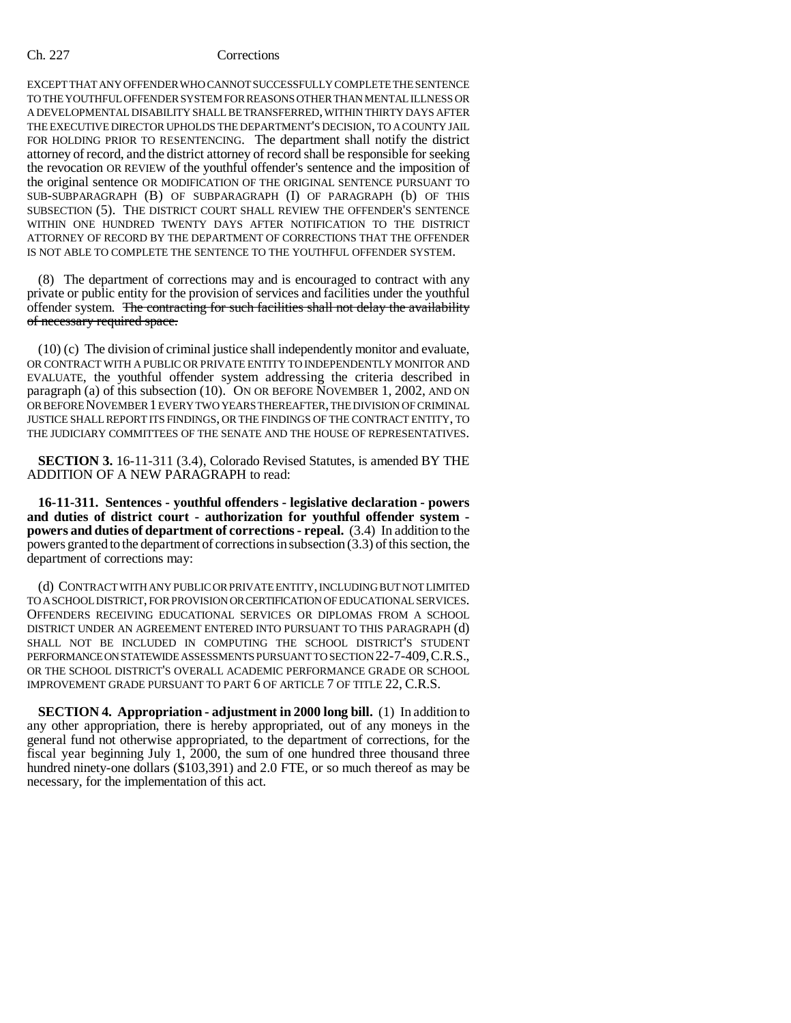## Ch. 227 Corrections

EXCEPT THAT ANY OFFENDER WHO CANNOT SUCCESSFULLY COMPLETE THE SENTENCE TO THE YOUTHFUL OFFENDER SYSTEM FOR REASONS OTHER THAN MENTAL ILLNESS OR A DEVELOPMENTAL DISABILITY SHALL BE TRANSFERRED, WITHIN THIRTY DAYS AFTER THE EXECUTIVE DIRECTOR UPHOLDS THE DEPARTMENT'S DECISION, TO A COUNTY JAIL FOR HOLDING PRIOR TO RESENTENCING. The department shall notify the district attorney of record, and the district attorney of record shall be responsible for seeking the revocation OR REVIEW of the youthful offender's sentence and the imposition of the original sentence OR MODIFICATION OF THE ORIGINAL SENTENCE PURSUANT TO SUB-SUBPARAGRAPH (B) OF SUBPARAGRAPH (I) OF PARAGRAPH (b) OF THIS SUBSECTION (5). THE DISTRICT COURT SHALL REVIEW THE OFFENDER'S SENTENCE WITHIN ONE HUNDRED TWENTY DAYS AFTER NOTIFICATION TO THE DISTRICT ATTORNEY OF RECORD BY THE DEPARTMENT OF CORRECTIONS THAT THE OFFENDER IS NOT ABLE TO COMPLETE THE SENTENCE TO THE YOUTHFUL OFFENDER SYSTEM.

(8) The department of corrections may and is encouraged to contract with any private or public entity for the provision of services and facilities under the youthful offender system. The contracting for such facilities shall not delay the availability of necessary required space.

(10) (c) The division of criminal justice shall independently monitor and evaluate, OR CONTRACT WITH A PUBLIC OR PRIVATE ENTITY TO INDEPENDENTLY MONITOR AND EVALUATE, the youthful offender system addressing the criteria described in paragraph (a) of this subsection (10). ON OR BEFORE NOVEMBER 1, 2002, AND ON OR BEFORE NOVEMBER 1 EVERY TWO YEARS THEREAFTER, THE DIVISION OF CRIMINAL JUSTICE SHALL REPORT ITS FINDINGS, OR THE FINDINGS OF THE CONTRACT ENTITY, TO THE JUDICIARY COMMITTEES OF THE SENATE AND THE HOUSE OF REPRESENTATIVES.

**SECTION 3.** 16-11-311 (3.4), Colorado Revised Statutes, is amended BY THE ADDITION OF A NEW PARAGRAPH to read:

**16-11-311. Sentences - youthful offenders - legislative declaration - powers and duties of district court - authorization for youthful offender system powers and duties of department of corrections - repeal.** (3.4) In addition to the powers granted to the department of corrections in subsection (3.3) of this section, the department of corrections may:

(d) CONTRACT WITH ANY PUBLIC OR PRIVATE ENTITY, INCLUDING BUT NOT LIMITED TO A SCHOOL DISTRICT, FOR PROVISION OR CERTIFICATION OF EDUCATIONAL SERVICES. OFFENDERS RECEIVING EDUCATIONAL SERVICES OR DIPLOMAS FROM A SCHOOL DISTRICT UNDER AN AGREEMENT ENTERED INTO PURSUANT TO THIS PARAGRAPH (d) SHALL NOT BE INCLUDED IN COMPUTING THE SCHOOL DISTRICT'S STUDENT PERFORMANCE ON STATEWIDE ASSESSMENTS PURSUANT TO SECTION 22-7-409, C.R.S., OR THE SCHOOL DISTRICT'S OVERALL ACADEMIC PERFORMANCE GRADE OR SCHOOL IMPROVEMENT GRADE PURSUANT TO PART 6 OF ARTICLE 7 OF TITLE 22, C.R.S.

**SECTION 4. Appropriation - adjustment in 2000 long bill.** (1) In addition to any other appropriation, there is hereby appropriated, out of any moneys in the general fund not otherwise appropriated, to the department of corrections, for the fiscal year beginning July 1, 2000, the sum of one hundred three thousand three hundred ninety-one dollars (\$103,391) and 2.0 FTE, or so much thereof as may be necessary, for the implementation of this act.